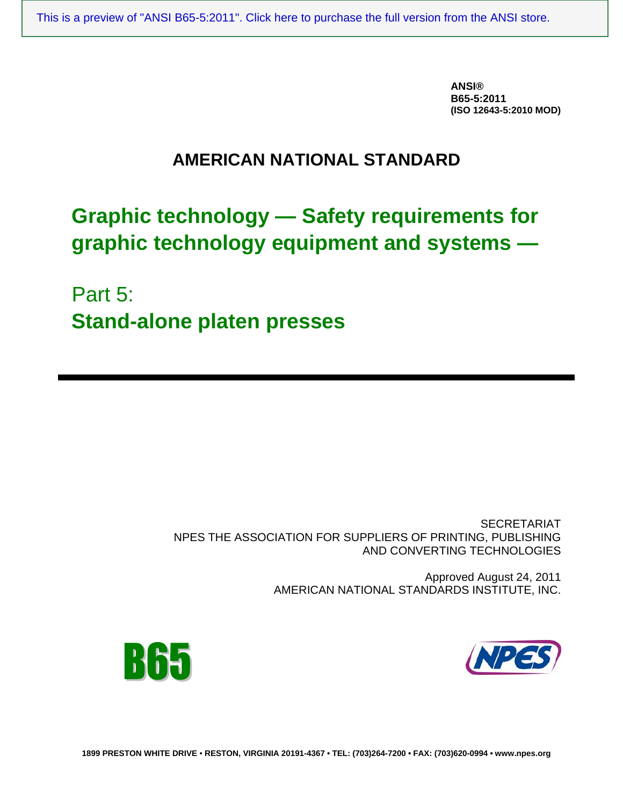**ANSI® B65-5:2011 (ISO 12643-5:2010 MOD)** 

# **AMERICAN NATIONAL STANDARD**

# **Graphic technology — Safety requirements for graphic technology equipment and systems —**

Part 5: **Stand-alone platen presses** 

> **SECRETARIAT** NPES THE ASSOCIATION FOR SUPPLIERS OF PRINTING, PUBLISHING AND CONVERTING TECHNOLOGIES

> > Approved August 24, 2011 AMERICAN NATIONAL STANDARDS INSTITUTE, INC.





**1899 PRESTON WHITE DRIVE** • **RESTON, VIRGINIA 20191-4367 • TEL: (703)264-7200 • FAX: (703)620-0994 • www.npes.org**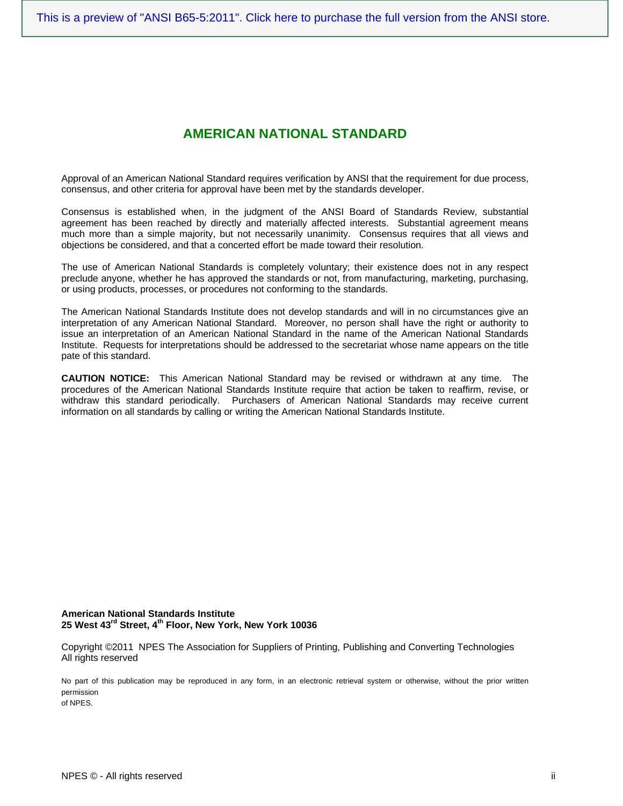# **AMERICAN NATIONAL STANDARD**

Approval of an American National Standard requires verification by ANSI that the requirement for due process, consensus, and other criteria for approval have been met by the standards developer.

Consensus is established when, in the judgment of the ANSI Board of Standards Review, substantial agreement has been reached by directly and materially affected interests. Substantial agreement means much more than a simple majority, but not necessarily unanimity. Consensus requires that all views and objections be considered, and that a concerted effort be made toward their resolution.

The use of American National Standards is completely voluntary; their existence does not in any respect preclude anyone, whether he has approved the standards or not, from manufacturing, marketing, purchasing, or using products, processes, or procedures not conforming to the standards.

The American National Standards Institute does not develop standards and will in no circumstances give an interpretation of any American National Standard. Moreover, no person shall have the right or authority to issue an interpretation of an American National Standard in the name of the American National Standards Institute. Requests for interpretations should be addressed to the secretariat whose name appears on the title pate of this standard.

**CAUTION NOTICE:** This American National Standard may be revised or withdrawn at any time. The procedures of the American National Standards Institute require that action be taken to reaffirm, revise, or withdraw this standard periodically. Purchasers of American National Standards may receive current information on all standards by calling or writing the American National Standards Institute.

**American National Standards Institute 25 West 43rd Street, 4th Floor, New York, New York 10036** 

Copyright ©2011 NPES The Association for Suppliers of Printing, Publishing and Converting Technologies All rights reserved

No part of this publication may be reproduced in any form, in an electronic retrieval system or otherwise, without the prior written permission of NPES.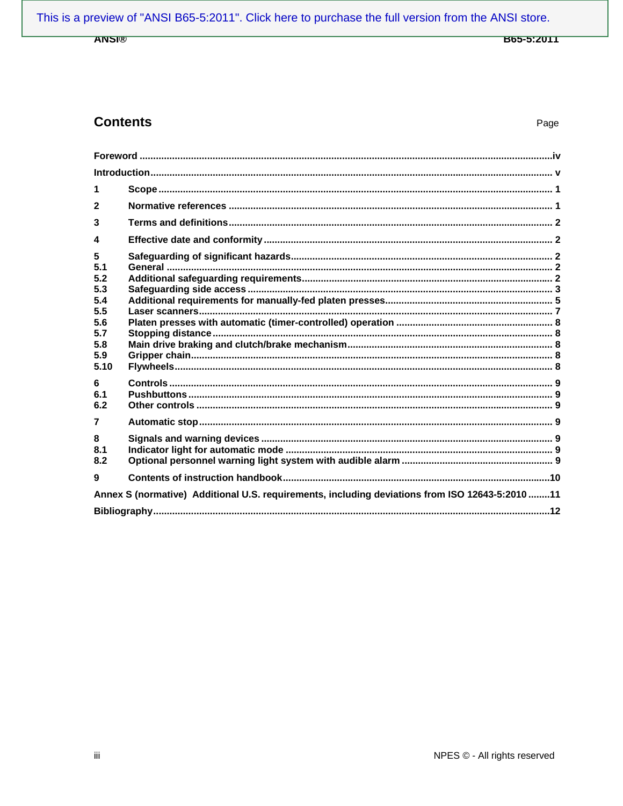### **ANSI®**

**B65-5:2011** 

# **Contents**

Page

| 1                                                                        |                                                                                                 |  |
|--------------------------------------------------------------------------|-------------------------------------------------------------------------------------------------|--|
| $\mathbf{2}$                                                             |                                                                                                 |  |
| 3                                                                        |                                                                                                 |  |
| 4                                                                        |                                                                                                 |  |
| 5<br>5.1<br>5.2<br>5.3<br>5.4<br>5.5<br>5.6<br>5.7<br>5.8<br>5.9<br>5.10 |                                                                                                 |  |
| 6<br>6.1<br>6.2                                                          |                                                                                                 |  |
| $\overline{7}$                                                           |                                                                                                 |  |
| 8<br>8.1<br>8.2                                                          |                                                                                                 |  |
| 9                                                                        |                                                                                                 |  |
|                                                                          | Annex S (normative) Additional U.S. requirements, including deviations from ISO 12643-5:2010 11 |  |
|                                                                          |                                                                                                 |  |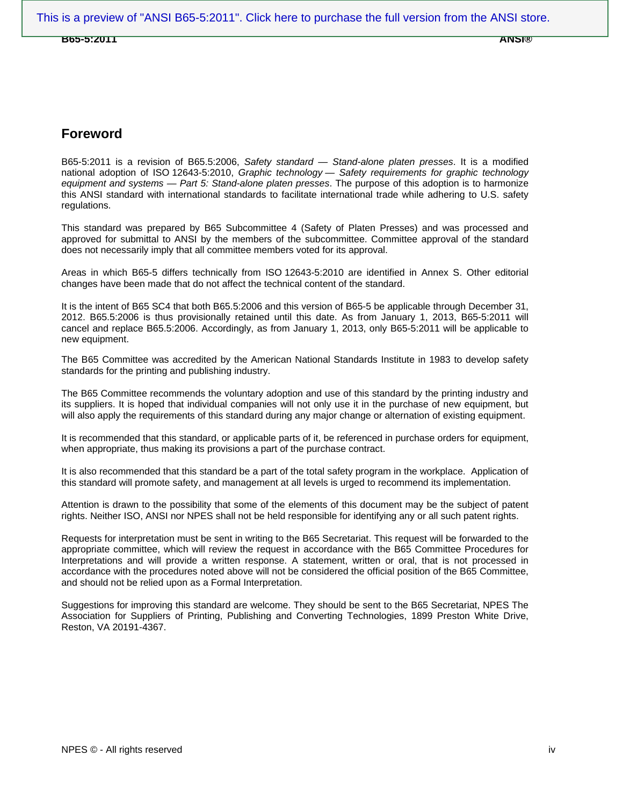**B65-5:2011 ANSI®** 

## **Foreword**

B65-5:2011 is a revision of B65.5:2006, *Safety standard — Stand-alone platen presses*. It is a modified national adoption of ISO 12643-5:2010, *Graphic technology — Safety requirements for graphic technology equipment and systems — Part 5: Stand-alone platen presses*. The purpose of this adoption is to harmonize this ANSI standard with international standards to facilitate international trade while adhering to U.S. safety regulations.

This standard was prepared by B65 Subcommittee 4 (Safety of Platen Presses) and was processed and approved for submittal to ANSI by the members of the subcommittee. Committee approval of the standard does not necessarily imply that all committee members voted for its approval.

Areas in which B65-5 differs technically from ISO 12643-5:2010 are identified in Annex S. Other editorial changes have been made that do not affect the technical content of the standard.

It is the intent of B65 SC4 that both B65.5:2006 and this version of B65-5 be applicable through December 31, 2012. B65.5:2006 is thus provisionally retained until this date. As from January 1, 2013, B65-5:2011 will cancel and replace B65.5:2006. Accordingly, as from January 1, 2013, only B65-5:2011 will be applicable to new equipment.

The B65 Committee was accredited by the American National Standards Institute in 1983 to develop safety standards for the printing and publishing industry.

The B65 Committee recommends the voluntary adoption and use of this standard by the printing industry and its suppliers. It is hoped that individual companies will not only use it in the purchase of new equipment, but will also apply the requirements of this standard during any major change or alternation of existing equipment.

It is recommended that this standard, or applicable parts of it, be referenced in purchase orders for equipment, when appropriate, thus making its provisions a part of the purchase contract.

It is also recommended that this standard be a part of the total safety program in the workplace. Application of this standard will promote safety, and management at all levels is urged to recommend its implementation.

Attention is drawn to the possibility that some of the elements of this document may be the subject of patent rights. Neither ISO, ANSI nor NPES shall not be held responsible for identifying any or all such patent rights.

Requests for interpretation must be sent in writing to the B65 Secretariat. This request will be forwarded to the appropriate committee, which will review the request in accordance with the B65 Committee Procedures for Interpretations and will provide a written response. A statement, written or oral, that is not processed in accordance with the procedures noted above will not be considered the official position of the B65 Committee, and should not be relied upon as a Formal Interpretation.

Suggestions for improving this standard are welcome. They should be sent to the B65 Secretariat, NPES The Association for Suppliers of Printing, Publishing and Converting Technologies, 1899 Preston White Drive, Reston, VA 20191-4367.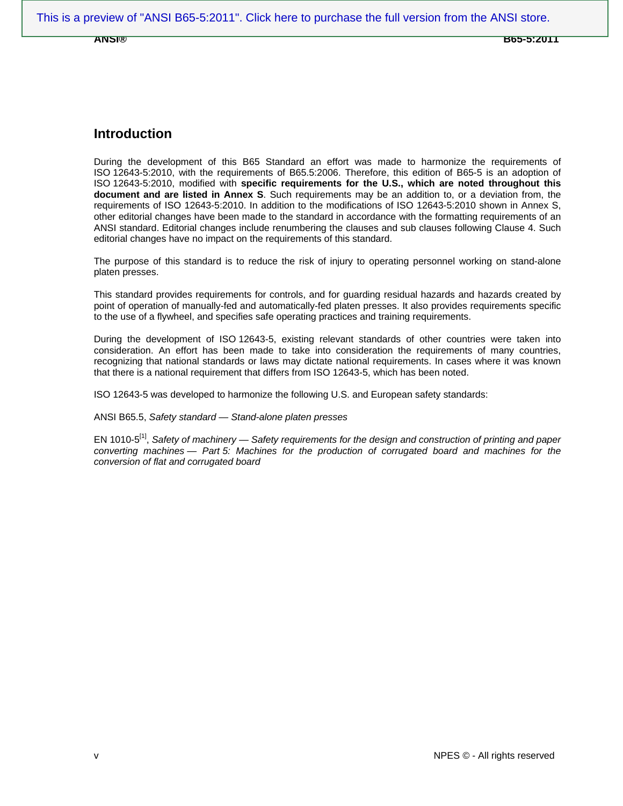**ANSI® B65-5:2011** 

### **Introduction**

During the development of this B65 Standard an effort was made to harmonize the requirements of ISO 12643-5:2010, with the requirements of B65.5:2006. Therefore, this edition of B65-5 is an adoption of ISO 12643-5:2010, modified with **specific requirements for the U.S., which are noted throughout this document and are listed in Annex S**. Such requirements may be an addition to, or a deviation from, the requirements of ISO 12643-5:2010. In addition to the modifications of ISO 12643-5:2010 shown in Annex S, other editorial changes have been made to the standard in accordance with the formatting requirements of an ANSI standard. Editorial changes include renumbering the clauses and sub clauses following Clause 4. Such editorial changes have no impact on the requirements of this standard.

The purpose of this standard is to reduce the risk of injury to operating personnel working on stand-alone platen presses.

This standard provides requirements for controls, and for guarding residual hazards and hazards created by point of operation of manually-fed and automatically-fed platen presses. It also provides requirements specific to the use of a flywheel, and specifies safe operating practices and training requirements.

During the development of ISO 12643-5, existing relevant standards of other countries were taken into consideration. An effort has been made to take into consideration the requirements of many countries, recognizing that national standards or laws may dictate national requirements. In cases where it was known that there is a national requirement that differs from ISO 12643-5, which has been noted.

ISO 12643-5 was developed to harmonize the following U.S. and European safety standards:

ANSI B65.5, *Safety standard — Stand-alone platen presses*

EN 1010-5[1], *Safety of machinery — Safety requirements for the design and construction of printing and paper converting machines — Part 5: Machines for the production of corrugated board and machines for the conversion of flat and corrugated board*